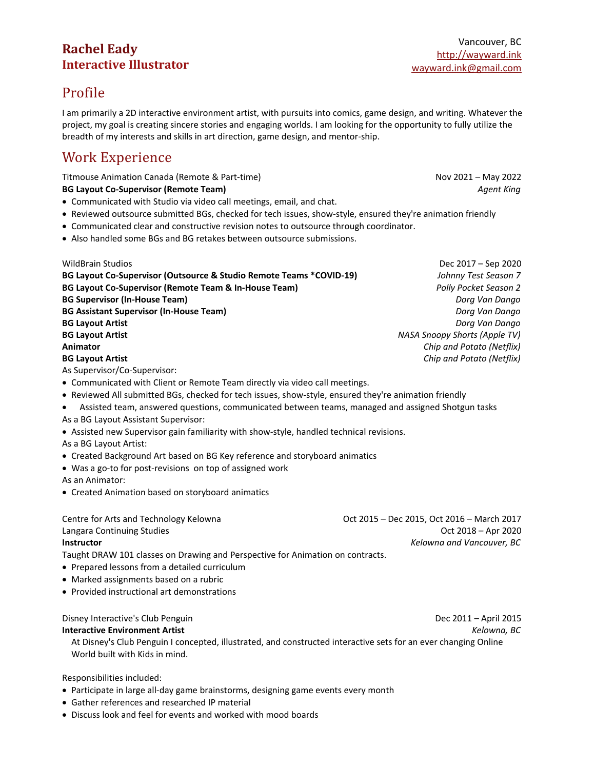## **Rachel Eady Interactive Illustrator**

# Profile

I am primarily a 2D interactive environment artist, with pursuits into comics, game design, and writing. Whatever the project, my goal is creating sincere stories and engaging worlds. I am looking for the opportunity to fully utilize the breadth of my interests and skills in art direction, game design, and mentor-ship.

# Work Experience

Titmouse Animation Canada (Remote & Part-time) Nov 2021 – May 2022

**BG Layout Co-Supervisor (Remote Team)** *Agent King*

- Communicated with Studio via video call meetings, email, and chat.
- Reviewed outsource submitted BGs, checked for tech issues, show-style, ensured they're animation friendly
- Communicated clear and constructive revision notes to outsource through coordinator.
- Also handled some BGs and BG retakes between outsource submissions.

WildBrain Studios Dec 2017 – Sep 2020 **BG Layout Co-Supervisor (Outsource & Studio Remote Teams \*COVID-19)** *Johnny Test Season 7* **BG Layout Co-Supervisor (Remote Team & In-House Team)** *Polly Pocket Season 2* **BG Supervisor (In-House Team)** *Dorg Van Dango* **BG Assistant Supervisor (In-House Team)** *Dorg Van Dango* **BG Layout Artist** *Dorg Van Dango* **BG Layout Artist** *NASA Snoopy Shorts (Apple TV)* **Animator** *Chip and Potato (Netflix)* **BG Layout Artist** *Chip and Potato (Netflix)* As Supervisor/Co-Supervisor: Communicated with Client or Remote Team directly via video call meetings. Reviewed All submitted BGs, checked for tech issues, show-style, ensured they're animation friendly Assisted team, answered questions, communicated between teams, managed and assigned Shotgun tasks As a BG Layout Assistant Supervisor: Assisted new Supervisor gain familiarity with show-style, handled technical revisions. As a BG Layout Artist: Created Background Art based on BG Key reference and storyboard animatics Was a go-to for post-revisions on top of assigned work As an Animator: Created Animation based on storyboard animatics Centre for Arts and Technology Kelowna Oct 2015 – Dec 2015, Oct 2016 – March 2017 Langara Continuing Studies **Continuing Studies** Oct 2018 – Apr 2020 **Instructor** *Kelowna and Vancouver, BC* Taught DRAW 101 classes on Drawing and Perspective for Animation on contracts. Prepared lessons from a detailed curriculum • Marked assignments based on a rubric

Provided instructional art demonstrations

Disney Interactive's Club Penguin Dec 2011 – April 2015

**Interactive Environment Artist** *Kelowna, BC*

At Disney's Club Penguin I concepted, illustrated, and constructed interactive sets for an ever changing Online World built with Kids in mind.

Responsibilities included:

- Participate in large all-day game brainstorms, designing game events every month
- Gather references and researched IP material
- Discuss look and feel for events and worked with mood boards